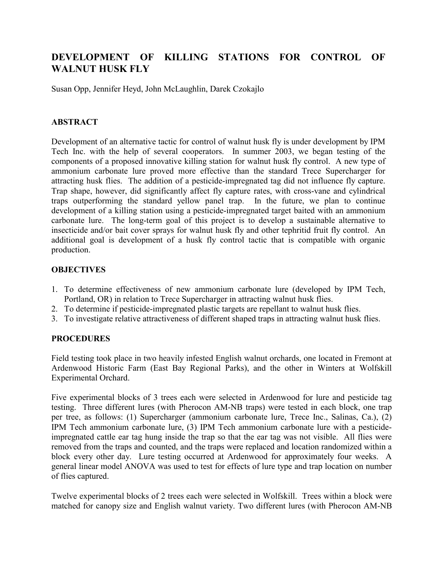# **DEVELOPMENT OF KILLING STATIONS FOR CONTROL OF WALNUT HUSK FLY**

Susan Opp, Jennifer Heyd, John McLaughlin, Darek Czokajlo

## **ABSTRACT**

Development of an alternative tactic for control of walnut husk fly is under development by IPM Tech Inc. with the help of several cooperators. In summer 2003, we began testing of the components of a proposed innovative killing station for walnut husk fly control. A new type of ammonium carbonate lure proved more effective than the standard Trece Supercharger for attracting husk flies. The addition of a pesticide-impregnated tag did not influence fly capture. Trap shape, however, did significantly affect fly capture rates, with cross-vane and cylindrical traps outperforming the standard yellow panel trap. In the future, we plan to continue development of a killing station using a pesticide-impregnated target baited with an ammonium carbonate lure. The long-term goal of this project is to develop a sustainable alternative to insecticide and/or bait cover sprays for walnut husk fly and other tephritid fruit fly control. An additional goal is development of a husk fly control tactic that is compatible with organic production.

### **OBJECTIVES**

- 1. To determine effectiveness of new ammonium carbonate lure (developed by IPM Tech, Portland, OR) in relation to Trece Supercharger in attracting walnut husk flies.
- 2. To determine if pesticide-impregnated plastic targets are repellant to walnut husk flies.
- 3. To investigate relative attractiveness of different shaped traps in attracting walnut husk flies.

## **PROCEDURES**

Field testing took place in two heavily infested English walnut orchards, one located in Fremont at Ardenwood Historic Farm (East Bay Regional Parks), and the other in Winters at Wolfskill Experimental Orchard.

Five experimental blocks of 3 trees each were selected in Ardenwood for lure and pesticide tag testing. Three different lures (with Pherocon AM-NB traps) were tested in each block, one trap per tree, as follows: (1) Supercharger (ammonium carbonate lure, Trece Inc., Salinas, Ca.), (2) IPM Tech ammonium carbonate lure, (3) IPM Tech ammonium carbonate lure with a pesticideimpregnated cattle ear tag hung inside the trap so that the ear tag was not visible. All flies were removed from the traps and counted, and the traps were replaced and location randomized within a block every other day. Lure testing occurred at Ardenwood for approximately four weeks. A general linear model ANOVA was used to test for effects of lure type and trap location on number of flies captured.

Twelve experimental blocks of 2 trees each were selected in Wolfskill. Trees within a block were matched for canopy size and English walnut variety. Two different lures (with Pherocon AM-NB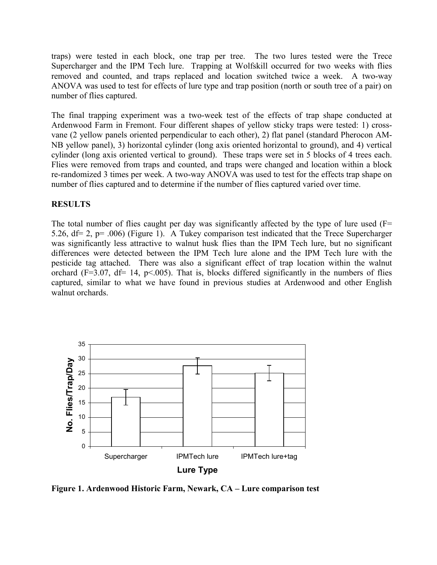traps) were tested in each block, one trap per tree. The two lures tested were the Trece Supercharger and the IPM Tech lure. Trapping at Wolfskill occurred for two weeks with flies removed and counted, and traps replaced and location switched twice a week. A two-way ANOVA was used to test for effects of lure type and trap position (north or south tree of a pair) on number of flies captured.

The final trapping experiment was a two-week test of the effects of trap shape conducted at Ardenwood Farm in Fremont. Four different shapes of yellow sticky traps were tested: 1) crossvane (2 yellow panels oriented perpendicular to each other), 2) flat panel (standard Pherocon AM-NB yellow panel), 3) horizontal cylinder (long axis oriented horizontal to ground), and 4) vertical cylinder (long axis oriented vertical to ground). These traps were set in 5 blocks of 4 trees each. Flies were removed from traps and counted, and traps were changed and location within a block re-randomized 3 times per week. A two-way ANOVA was used to test for the effects trap shape on number of flies captured and to determine if the number of flies captured varied over time.

### **RESULTS**

The total number of flies caught per day was significantly affected by the type of lure used  $(F=$ 5.26, df= 2, p= .006) (Figure 1). A Tukey comparison test indicated that the Trece Supercharger was significantly less attractive to walnut husk flies than the IPM Tech lure, but no significant differences were detected between the IPM Tech lure alone and the IPM Tech lure with the pesticide tag attached. There was also a significant effect of trap location within the walnut orchard ( $F=3.07$ ,  $df=14$ ,  $p<.005$ ). That is, blocks differed significantly in the numbers of flies captured, similar to what we have found in previous studies at Ardenwood and other English walnut orchards.



**Figure 1. Ardenwood Historic Farm, Newark, CA – Lure comparison test**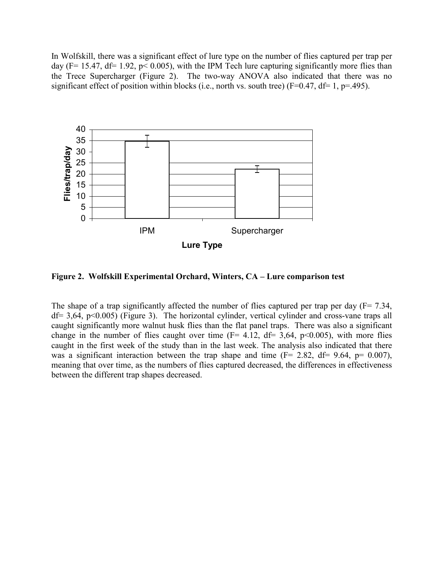In Wolfskill, there was a significant effect of lure type on the number of flies captured per trap per day (F= 15.47, df= 1.92,  $p$ < 0.005), with the IPM Tech lure capturing significantly more flies than the Trece Supercharger (Figure 2). The two-way ANOVA also indicated that there was no significant effect of position within blocks (i.e., north vs. south tree) ( $F=0.47$ ,  $df= 1$ ,  $p=.495$ ).



**Figure 2. Wolfskill Experimental Orchard, Winters, CA – Lure comparison test** 

The shape of a trap significantly affected the number of flies captured per trap per day  $(F= 7.34,$  $df = 3.64$ ,  $p < 0.005$ ) (Figure 3). The horizontal cylinder, vertical cylinder and cross-vane traps all caught significantly more walnut husk flies than the flat panel traps. There was also a significant change in the number of flies caught over time  $(F= 4.12, df= 3.64, p<0.005)$ , with more flies caught in the first week of the study than in the last week. The analysis also indicated that there was a significant interaction between the trap shape and time ( $F = 2.82$ ,  $df = 9.64$ ,  $p = 0.007$ ), meaning that over time, as the numbers of flies captured decreased, the differences in effectiveness between the different trap shapes decreased.